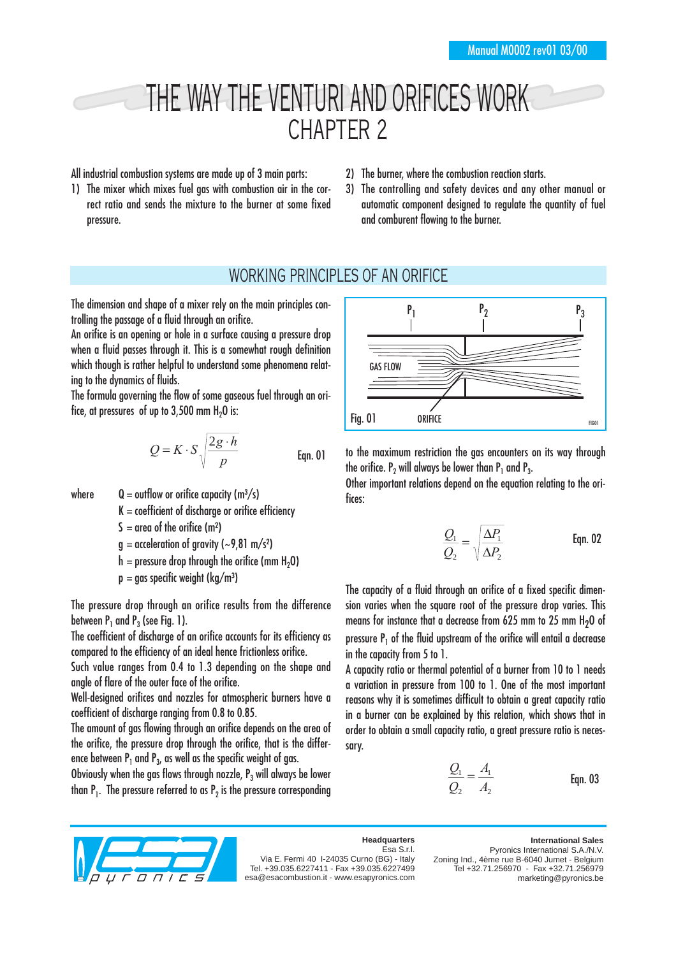# THE WAY THE VENTURI AND ORIFICES WORK CHAPTER 2

All industrial combustion systems are made up of 3 main parts:

- 1) The mixer which mixes fuel gas with combustion air in the correct ratio and sends the mixture to the burner at some fixed pressure.
- 2) The burner, where the combustion reaction starts.
- 3) The controlling and safety devices and any other manual or automatic component designed to regulate the quantity of fuel and comburent flowing to the burner.

### WORKING PRINCIPLES OF AN ORIFICE

The dimension and shape of a mixer rely on the main principles controlling the passage of a fluid through an orifice.

An orifice is an opening or hole in a surface causing a pressure drop when a fluid passes through it. This is a somewhat rough definition which though is rather helpful to understand some phenomena relating to the dynamics of fluids.

The formula governing the flow of some gaseous fuel through an orifice, at pressures of up to  $3,500$  mm  $H<sub>2</sub>O$  is:

$$
Q = K \cdot S \sqrt{\frac{2g \cdot h}{p}}
$$
 Eqn. 01

- where  $Q =$  outflow or orifice capacity (m<sup>3</sup>/s)
	- $K =$  coefficient of discharge or orifice efficiency
	- $S = \text{area of the orifice (m}^2)$
	- $q =$  acceleration of gravity (~9,81 m/s<sup>2</sup>)
	- $h =$  pressure drop through the orifice (mm H<sub>2</sub>O)
	- $p = gas$  specific weight (kg/m<sup>3</sup>)

The pressure drop through an orifice results from the difference between  $P_1$  and  $P_2$  (see Fig. 1).

The coefficient of discharge of an orifice accounts for its efficiency as compared to the efficiency of an ideal hence frictionless orifice.

Such value ranges from 0.4 to 1.3 depending on the shape and angle of flare of the outer face of the orifice.

Well-designed orifices and nozzles for atmospheric burners have a coefficient of discharge ranging from 0.8 to 0.85.

The amount of aas flowing through an orifice depends on the area of the orifice, the pressure drop through the orifice, that is the difference between  $P_1$  and  $P_3$ , as well as the specific weight of gas.

Obviously when the gas flows through nozzle,  $P_3$  will always be lower than  $P_1$ . The pressure referred to as  $P_2$  is the pressure corresponding



to the maximum restriction the gas encounters on its way through the orifice.  $P_2$  will always be lower than  $P_1$  and  $P_3$ .

Other important relations depend on the equation relating to the orifices:

$$
\frac{Q_1}{Q_2} = \sqrt{\frac{\Delta P_1}{\Delta P_2}}
$$
 Eqn. 02

The capacity of a fluid through an orifice of a fixed specific dimension varies when the square root of the pressure drop varies. This means for instance that a decrease from 625 mm to 25 mm  $H<sub>2</sub>O$  of pressure  $P_1$  of the fluid upstream of the orifice will entail a decrease in the capacity from 5 to 1.

A capacity ratio or thermal potential of a burner from 10 to 1 needs a variation in pressure from 100 to 1. One of the most important reasons why it is sometimes difficult to obtain a great capacity ratio in a burner can be explained by this relation, which shows that in order to obtain a small capacity ratio, a great pressure ratio is necessary.

$$
\frac{Q_1}{Q_2} = \frac{A_1}{A_2}
$$
 Eqn. 03



#### **Headquarters** Esa S.r.l.

Via E. Fermi 40 I-24035 Curno (BG) - Italy Tel. +39.035.6227411 - Fax +39.035.6227499 esa@esacombustion.it - www.esapyronics.com

**International Sales** Pyronics International S.A./N.V. Zoning Ind., 4ème rue B-6040 Jumet - Belgium Tel +32.71.256970 - Fax +32.71.256979 marketing@pyronics.be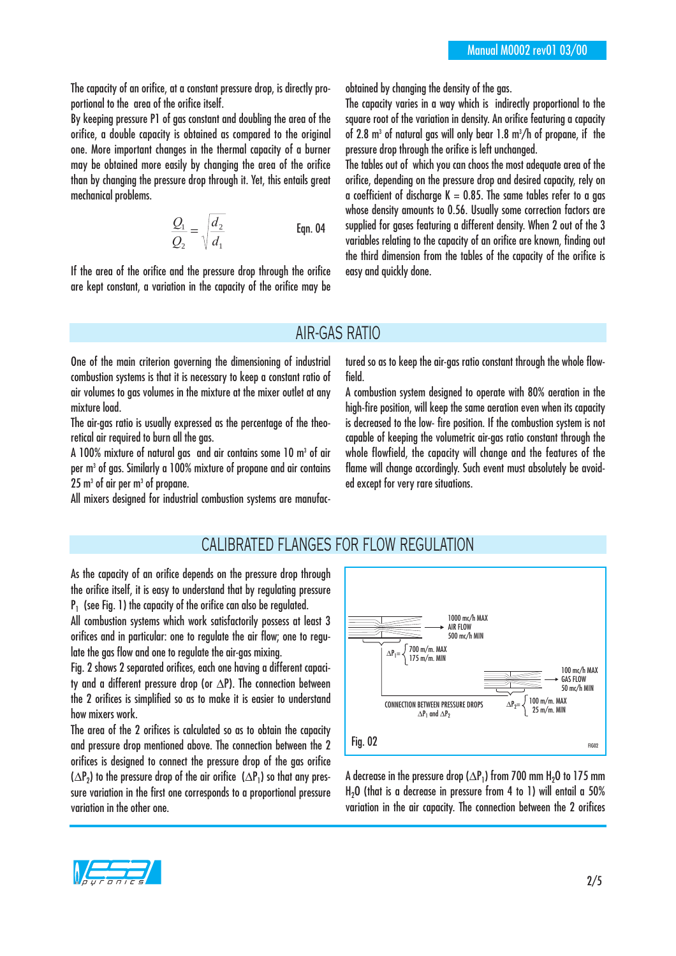The capacity of an orifice, at a constant pressure drop, is directly proportional to the area of the orifice itself.

By keeping pressure P1 of gas constant and doubling the area of the orifice, a double capacity is obtained as compared to the original one. More important changes in the thermal capacity of a burner may be obtained more easily by changing the area of the orifice than by changing the pressure drop through it. Yet, this entails great mechanical problems.

$$
\frac{Q_1}{Q_2} = \sqrt{\frac{d_2}{d_1}}
$$
 Eqn. 04

If the area of the orifice and the pressure drop through the orifice are kept constant, a variation in the capacity of the orifice may be obtained by changing the density of the gas.

The capacity varies in a way which is indirectly proportional to the square root of the variation in density. An orifice featuring a capacity of 2.8 m<sup>3</sup> of natural gas will only bear 1.8 m<sup>3</sup>/h of propane, if the pressure drop through the orifice is left unchanged.

The tables out of which you can choos the most adequate area of the orifice, depending on the pressure drop and desired capacity, rely on a coefficient of discharge K = 0.85. The same tables refer to a gas whose density amounts to 0.56. Usually some correction factors are supplied for gases featuring a different density. When 2 out of the 3 variables relating to the capacity of an orifice are known, finding out the third dimension from the tables of the capacity of the orifice is easy and quickly done.

#### AIR-GAS RATIO

One of the main criterion governing the dimensioning of industrial combustion systems is that it is necessary to keep a constant ratio of air volumes to gas volumes in the mixture at the mixer outlet at any mixture load.

The air-gas ratio is usually expressed as the percentage of the theoretical air required to burn all the gas.

A 100% mixture of natural aas and air contains some 10 m<sup>3</sup> of air per m3 of gas. Similarly a 100% mixture of propane and air contains  $25 \text{ m}^3$  of air per  $\text{m}^3$  of propane.

All mixers designed for industrial combustion systems are manufac-

tured so as to keep the air-gas ratio constant through the whole flowfield.

A combustion system designed to operate with 80% aeration in the high-fire position, will keep the same aeration even when its capacity is decreased to the low- fire position. If the combustion system is not capable of keeping the volumetric air-gas ratio constant through the whole flowfield, the capacity will change and the features of the flame will change accordingly. Such event must absolutely be avoided except for very rare situations.

#### CALIBRATED FLANGES FOR FLOW REGULATION

As the capacity of an orifice depends on the pressure drop through the orifice itself, it is easy to understand that by regulating pressure  $P_1$  (see Fig. 1) the capacity of the orifice can also be regulated.

All combustion systems which work satisfactorily possess at least 3 orifices and in particular: one to regulate the air flow; one to regulate the gas flow and one to regulate the air-gas mixing.

Fig. 2 shows 2 separated orifices, each one having a different capacity and a different pressure drop (or ∆P). The connection between the 2 orifices is simplified so as to make it is easier to understand how mixers work.

The area of the 2 orifices is calculated so as to obtain the capacity and pressure drop mentioned above. The connection between the 2 orifices is designed to connect the pressure drop of the gas orifice  $(\Delta P_2)$  to the pressure drop of the air orifice  $(\Delta P_1)$  so that any pressure variation in the first one corresponds to a proportional pressure variation in the other one.



A decrease in the pressure drop ( $\Delta P_1$ ) from 700 mm H<sub>2</sub>O to 175 mm H<sub>2</sub>O (that is a decrease in pressure from 4 to 1) will entail a 50% variation in the air capacity. The connection between the 2 orifices

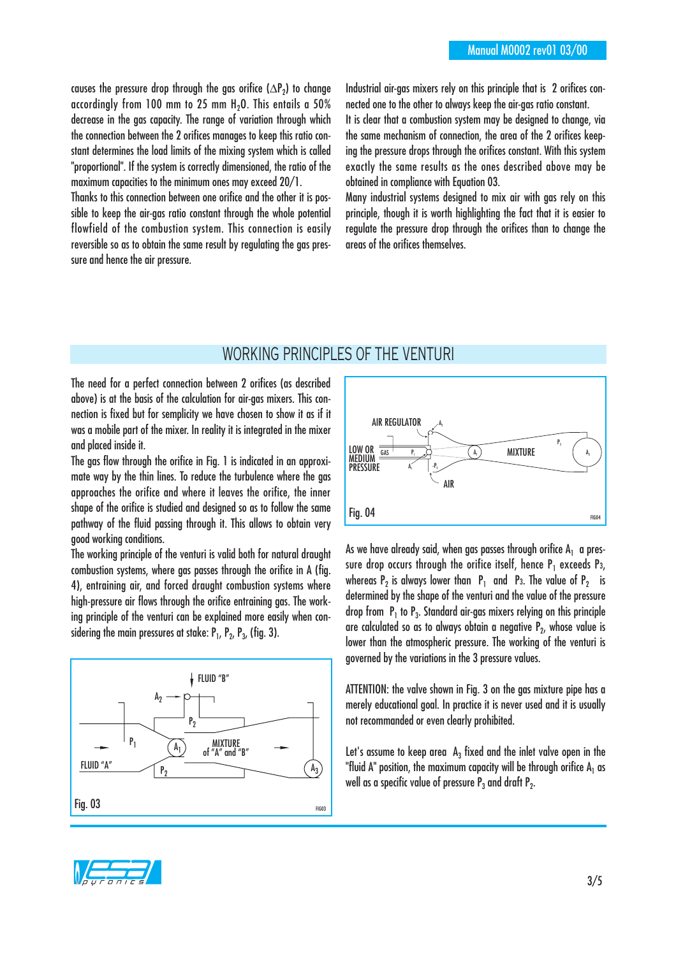causes the pressure drop through the gas orifice ( $\Delta P_2$ ) to change accordingly from 100 mm to 25 mm  $H<sub>2</sub>O$ . This entails a 50% decrease in the gas capacity. The range of variation through which the connection between the 2 orifices manages to keep this ratio constant determines the load limits of the mixing system which is called "proportional". If the system is correctly dimensioned, the ratio of the maximum capacities to the minimum ones may exceed 20/1.

Thanks to this connection between one orifice and the other it is possible to keep the air-gas ratio constant through the whole potential flowfield of the combustion system. This connection is easily reversible so as to obtain the same result by regulating the gas pressure and hence the air pressure.

Industrial air-gas mixers rely on this principle that is 2 orifices connected one to the other to always keep the air-gas ratio constant.

It is clear that a combustion system may be designed to change, via the same mechanism of connection, the area of the 2 orifices keeping the pressure drops through the orifices constant. With this system exactly the same results as the ones described above may be obtained in compliance with Equation 03.

Many industrial systems designed to mix air with gas rely on this principle, though it is worth highlighting the fact that it is easier to regulate the pressure drop through the orifices than to change the areas of the orifices themselves.

## WORKING PRINCIPLES OF THE VENTURI

The need for a perfect connection between 2 orifices (as described above) is at the basis of the calculation for air-gas mixers. This connection is fixed but for semplicity we have chosen to show it as if it was a mobile part of the mixer. In reality it is integrated in the mixer and placed inside it.

The gas flow through the orifice in Fig. 1 is indicated in an approximate way by the thin lines. To reduce the turbulence where the gas approaches the orifice and where it leaves the orifice, the inner shape of the orifice is studied and designed so as to follow the same pathway of the fluid passing through it. This allows to obtain very good working conditions.

The working principle of the venturi is valid both for natural draught combustion systems, where gas passes through the orifice in A (fig. 4), entraining air, and forced draught combustion systems where high-pressure air flows through the orifice entraining gas. The working principle of the venturi can be explained more easily when considering the main pressures at stake:  $P_1$ ,  $P_2$ ,  $P_3$ , (fig. 3).





As we have already said, when gas passes through orifice  $A_1$  a pressure drop occurs through the orifice itself, hence  $P_1$  exceeds P<sub>3</sub>, whereas  $P_2$  is always lower than  $P_1$  and P3. The value of  $P_2$  is determined by the shape of the venturi and the value of the pressure drop from  $P_1$  to  $P_3$ . Standard air-gas mixers relying on this principle are calculated so as to always obtain a negative  $P_2$ , whose value is lower than the atmospheric pressure. The working of the venturi is governed by the variations in the 3 pressure values.

ATTENTION: the valve shown in Fig. 3 on the gas mixture pipe has a merely educational goal. In practice it is never used and it is usually not recommanded or even clearly prohibited.

Let's assume to keep area  $A_3$  fixed and the inlet valve open in the "fluid A" position, the maximum capacity will be through orifice  $A_1$  as well as a specific value of pressure  $P_3$  and draft  $P_2$ .

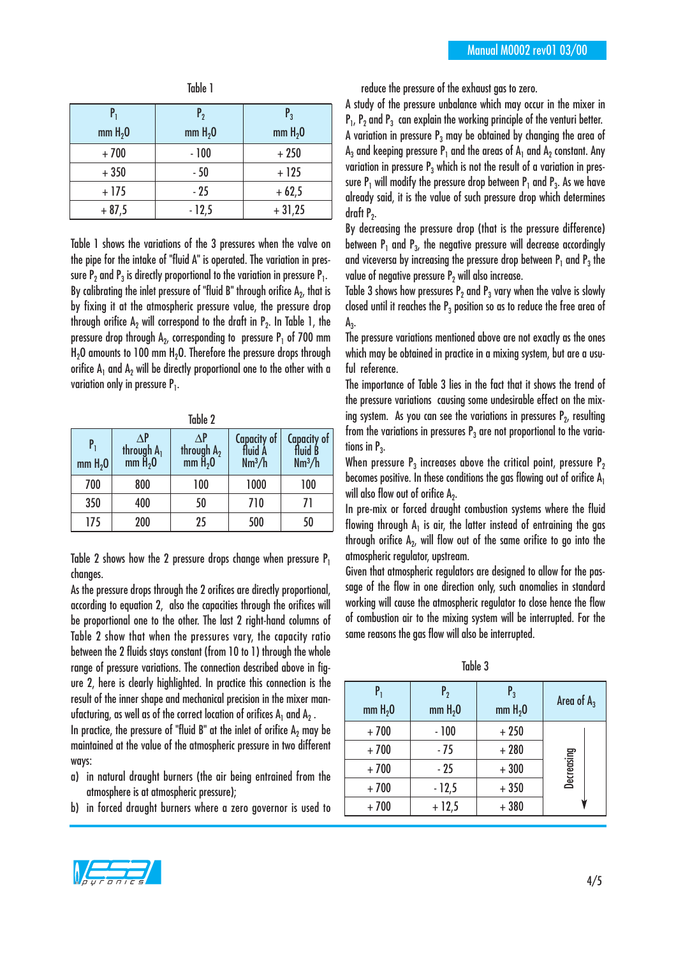| $P_1$      | $P_{2}$  | $P_3$               |
|------------|----------|---------------------|
| mm $H_2$ 0 | mm $H20$ | mm H <sub>2</sub> 0 |
| $+700$     | $-100$   | $+250$              |
| $+350$     | $-50$    | $+125$              |
| $+175$     | $-25$    | $+62,5$             |
| $+87,5$    | $-12,5$  | $+31,25$            |

Table 1

Table 1 shows the variations of the 3 pressures when the valve on the pipe for the intake of "fluid A" is operated. The variation in pressure  $P_2$  and  $P_3$  is directly proportional to the variation in pressure  $P_1$ . By calibrating the inlet pressure of "fluid B" through orifice  $A_2$ , that is by fixing it at the atmospheric pressure value, the pressure drop through orifice A<sub>2</sub> will correspond to the draft in  $P<sub>2</sub>$ . In Table 1, the pressure drop through  $A_2$ , corresponding to pressure  $P_1$  of 700 mm  $H<sub>2</sub>O$  amounts to 100 mm  $H<sub>2</sub>O$ . Therefore the pressure drops through orifice  $A_1$  and  $A_2$  will be directly proportional one to the other with a variation only in pressure  $P_1$ .

| Table Z                   |                                                      |                                                 |                                              |                                                     |  |
|---------------------------|------------------------------------------------------|-------------------------------------------------|----------------------------------------------|-----------------------------------------------------|--|
| P,<br>mm H <sub>2</sub> 0 | ∧Р<br>through $A_1$<br>mm $\mathsf{H}_{2}\mathsf{O}$ | $\wedge$ P<br>through $A_2$<br>mm $\hat{H}_2$ 0 | Capacity of<br>fluid À<br>Nm <sup>3</sup> /h | <b>Capacity of</b><br>fluid B<br>Nm <sup>3</sup> /h |  |
| 700                       | 800                                                  | 100                                             | 1000                                         | 100                                                 |  |
| 350                       | 400                                                  | 50                                              | 710                                          | 71                                                  |  |
| 175                       | 200                                                  | 25                                              | 500                                          | 50                                                  |  |

 $T$  LL  $\alpha$ 

Table 2 shows how the 2 pressure drops change when pressure  $P_1$ changes.

As the pressure drops through the 2 orifices are directly proportional, according to equation 2, also the capacities through the orifices will be proportional one to the other. The last 2 right-hand columns of Table 2 show that when the pressures vary, the capacity ratio between the 2 fluids stays constant (from 10 to 1) through the whole range of pressure variations. The connection described above in figure 2, here is clearly highlighted. In practice this connection is the result of the inner shape and mechanical precision in the mixer manufacturing, as well as of the correct location of orifices  $A_1$  and  $A_2$ .

In practice, the pressure of "fluid B" at the inlet of orifice  $A_2$  may be maintained at the value of the atmospheric pressure in two different ways:

- a) in natural draught burners (the air being entrained from the atmosphere is at atmospheric pressure);
- b) in forced draught burners where a zero governor is used to



A study of the pressure unbalance which may occur in the mixer in  $P_1$ ,  $P_2$  and  $P_3$  can explain the working principle of the venturi better. A variation in pressure  $P_3$  may be obtained by changing the area of  $A_3$  and keeping pressure  $P_1$  and the areas of  $A_1$  and  $A_2$  constant. Any variation in pressure  $P_3$  which is not the result of a variation in pressure  $P_1$  will modify the pressure drop between  $P_1$  and  $P_3$ . As we have already said, it is the value of such pressure drop which determines draft  $P_2$ .

By decreasing the pressure drop (that is the pressure difference) between  $P_1$  and  $P_3$ , the negative pressure will decrease accordingly and viceversa by increasing the pressure drop between  $P_1$  and  $P_3$  the value of negative pressure  $P<sub>2</sub>$  will also increase.

Table 3 shows how pressures  $P_2$  and  $P_3$  vary when the valve is slowly closed until it reaches the  $P_3$  position so as to reduce the free area of  $A_3.$ 

The pressure variations mentioned above are not exactly as the ones which may be obtained in practice in a mixing system, but are a usuful reference.

The importance of Table 3 lies in the fact that it shows the trend of the pressure variations causing some undesirable effect on the mixing system. As you can see the variations in pressures  $P<sub>2</sub>$ , resulting from the variations in pressures  $P_3$  are not proportional to the variations in  $P_3$ .

When pressure  $P_3$  increases above the critical point, pressure  $P_2$ becomes positive. In these conditions the gas flowing out of orifice  $A_1$ will also flow out of orifice  $A_2$ .

In pre-mix or forced draught combustion systems where the fluid flowing through  $A_1$  is air, the latter instead of entraining the gas through orifice  $A_2$ , will flow out of the same orifice to go into the atmospheric regulator, upstream.

Given that atmospheric regulators are designed to allow for the passage of the flow in one direction only, such anomalies in standard working will cause the atmospheric regulator to close hence the flow of combustion air to the mixing system will be interrupted. For the same reasons the gas flow will also be interrupted.

Table 3

| $P_1$<br>mm H <sub>2</sub> 0 | P <sub>2</sub><br>mm H <sub>2</sub> 0 | $P_3$<br>mm H <sub>2</sub> 0 | Area of $A_3$ |
|------------------------------|---------------------------------------|------------------------------|---------------|
| $+700$                       | $-100$                                | $+250$                       |               |
| $+700$                       | $-75$                                 | $+280$                       |               |
| $+700$                       | $-25$                                 | $+300$                       | Decreasing    |
| $+700$                       | $-12,5$                               | $+350$                       |               |
| $+700$                       | $+12,5$                               | $+380$                       |               |